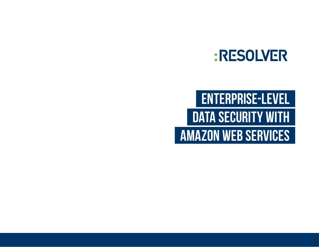## **:RESOLVER**

# **ENTERPRISE-LEVEL DATA SECURITY WITH AMAZON WEB SERVICES**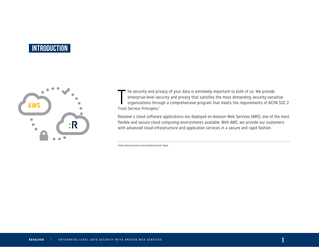## **INTRODUCTION**



The security and prienterprise-level se<br>
organizations throu<br>
Trust Service Principles.<sup>1</sup> • he security and privacy of your data is extremely important to both of us. We provide enterprise-level security and privacy that satisfies the most demanding security-sensitive organizations through a comprehensive program that meets the requirements of AICPA SOC 2

Resolver's cloud software applications are deployed on Amazon Web Services (AWS), one of the most flexible and secure cloud computing environments available. With AWS, we provide our customers with advanced cloud infrastructure and application services in a secure and rapid fashion.

*1 <https://aws.amazon.com/compliance/soc-faqs/>*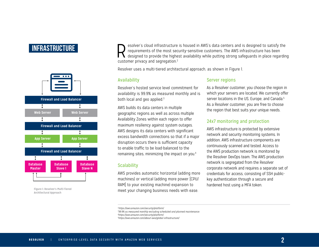## **INFRASTRUCTURE**



**Figure 1: Resolver's Multi-Tiered Architectural Approach** 

Resolver's cloud infrastructure is housed in AWS's data centers and is designed to satisfy the<br>requirements of the most security-sensitive customers. The AWS infrastructure has been<br>designed to provide the highest availabi requirements of the most security-sensitive customers. The AWS infrastructure has been designed to provide the highest availability while putting strong safeguards in place regarding customer privacy and segregation.2

Resolver uses a multi-tiered architectural approach, as shown in Figure 1.

#### Availability

Resolver's hosted service level commitment for availability is 99.9% as measured monthly and is both local and geo applied. $3$ 

AWS builds its data centers in multiple geographic regions as well as across multiple Availability Zones within each region to offer maximum resiliency against system outages. AWS designs its data centers with significant excess bandwidth connections so that if a major disruption occurs there is sufficient capacity to enable traffic to be load-balanced to the remaining sites, minimizing the impact on you.4

#### **Scalability**

AWS provides automatic horizontal (adding more machines) or vertical (adding more power [CPU/ RAM] to your existing machine) expansion to meet your changing business needs with ease.

#### Server regions

As a Resolver customer, you choose the region in which your servers are located. We currently offer server locations in the US, Europe, and Canada.<sup>5</sup> As a Resolver customer, you are free to choose the region that best suits your unique needs.

#### 24x7 monitoring and protection

AWS infrastructure is protected by extensive network and security monitoring systems. In addition, AWS infrastructure components are continuously scanned and tested. Access to the AWS production network is monitored by the Resolver DevOps team. The AWS production network is segregated from the Resolver corporate network and requires a separate set of credentials for access, consisting of SSH publickey authentication through a secure and hardened host using a MFA token.

*4 <https://aws.amazon.com/security/platform/>* 

*5 <https://aws.amazon.com/about-aws/global-infrastructure/>*

*<sup>2</sup><https://aws.amazon.com/security/platform/>*

*<sup>3</sup> 99.9% as measured monthly excluding scheduled and planned maintenance.*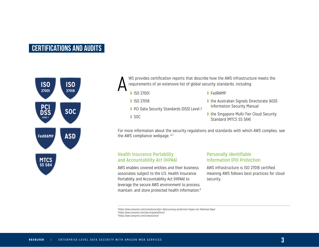## **CERTIFICATIONS AND AUDITS**



WS provides certification reports that describe how the AWS infrastructure meets the requirements of an extensive list of global security standards, including:

❱ FedRAMP

**B** ISO 27018

**B** ISO 27001

- ❱ PCI Data Security Standards (DSS) Level 1
- ❱ SOC

A

■ the Singapore Multi-Tier Cloud Security Standard (MTCS SS 584)

■ the Australian Signals Directorate (ASD)

Information Security Manual

For more information about the security regulations and standards with which AWS complies, see the AWS compliance webpage. 6,7

#### Health Insurance Portability and Accountability Act (HIPAA)

AWS enables covered entities and their business associates subject to the U.S. Health Insurance Portability and Accountability Act (HIPAA) to leverage the secure AWS environment to process, maintain, and store protected health information.8

#### Personally Identifiable Information (PII) Protection

AWS infrastructure is ISO 27018 certified, meaning AWS follows best practices for cloud security.

*6 <https://aws.amazon.com/compliance/pci-data-privacy-protection-hipaa-soc-fedramp-faqs/> 7 <https://aws.amazon.com/security/platform/> 8 <https://aws.amazon.com/compliance/>*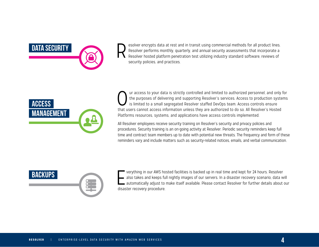

Resolver encrypts data at rest and in transit using commercial methods for all product lines.<br>Resolver performs monthly, quarterly, and annual security assessments that incorporate a<br>Resolver hosted platform penetration te Resolver performs monthly, quarterly, and annual security assessments that incorporate a Resolver hosted platform penetration test utilizing industry standard software, reviews of security policies, and practices.



ur access to your data is strictly controlled and limited to authorized personnel, and only for the purposes of delivering and supporting Resolver's services. Access to production systems is limited to a small segregated Resolver staffed DevOps team. Access controls ensure that users cannot access information unless they are authorized to do so. All Resolver's Hosted Platforms resources, systems, and applications have access controls implemented.

All Resolver employees receive security training on Resolver's security and privacy policies and procedures. Security training is an on-going activity at Resolver. Periodic security reminders keep full time and contract team members up to date with potential new threats. The frequency and form of these reminders vary and include matters such as security-related notices, emails, and verbal communication.



 $\Gamma$ verything in our AWS hosted facilities is backed up in real time and kept for 24 hours. Resolver also takes and keeps full nightly images of our servers. In a disaster recovery scenario, data will automatically adjust to make itself available. Please contact Resolver for further details about our disaster recovery procedure.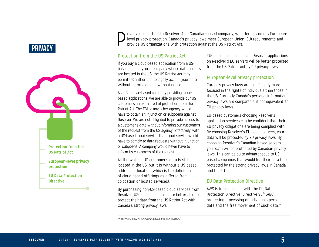## **PRIVACY**



Privacy is important to Resolver. As a Canadian-based company, we offer customers European-<br>level privacy protection. Canada's privacy laws meet European Union (EU) requirements and<br>provide US organizations with protection level privacy protection. Canada's privacy laws meet European Union (EU) requirements and provide US organizations with protection against the US Patriot Act.

#### Protection from the US Patriot Act

If you buy a cloud-based application from a USbased company, or a company whose data centers are located in the US, the US Patriot Act may permit US authorities to legally access your data without permission and without notice.

As a Canadian-based company providing cloudbased applications, we are able to provide our US customers an extra level of protection from the Patriot Act. The FBI or any other agency would have to obtain an injunction or subpoena against Resolver. We are not obligated to provide access to a customer's data without informing our customers of the request from the US agency. Effectively, with a US-based cloud service, that cloud service would have to comply to data requests without injunction or subpoena. A company would never have to inform its customers of the request.

All the while, a US customer's data is still located in the US, but it is without a US-based address or location (which is the definition of cloud-based offerings as differed from colocation or hosted services).

By purchasing non-US-based cloud services from Resolver, US-based companies are better able to protect their data from the US Patriot Act with Canada's strong privacy laws.

EU-based companies using Resolver applications on Resolver's EU servers will be better protected from the US Patriot Act by EU privacy laws.

#### European-level privacy protection

Europe's privacy laws are significantly more focused in the rights of individuals than those in the US. Currently Canada's personal information privacy laws are comparable, if not equivalent, to EU privacy laws.

EU-based customers choosing Resolver's application services can be confident that their EU privacy obligations are being complied with. By choosing Resolver's EU-based servers, your data will be protected by EU privacy laws. By choosing Resolver's Canadian-based servers, your data will be protected by Canadian privacy laws. This can be quite advantageous to USbased companies that would like their data to be protected by the strong privacy laws in Canada and the EU.

#### EU Data Protection Directive

AWS is in compliance with the EU Data Protection Directive (Directive 95/46/EC), protecting processing of individuals personal data and the free movement of such data $10$ 

*1[0https://aws.amazon.com/compliance/eu-data-protection/](https://aws.amazon.com/compliance/eu-data-protection/)*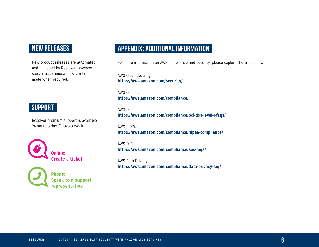## **NEW RELEASES**

New product releases are automated and managed by Resolver, however, special accommodations can be made when required.

### **SUPPORT**

Resolver premium support is available 24 hours a day, 7 days a week.



Phone: **Speak to a support representative**

## **Appendix: Additional Information**

For more information on AWS compliance and security, please explore the links below:

AWS Cloud Security: **[https://aws.amazon.com/security/](https://aws.amazon.com/security/ )**

AWS Compliance: **<https://aws.amazon.com/compliance/>**

AWS PCI:

**<https://aws.amazon.com/compliance/pci-dss-level-1-faqs/>**

AWS HIPPA: **<https://aws.amazon.com/compliance/hipaa-compliance/>**

AWS SOC: **<https://aws.amazon.com/compliance/soc-faqs/>**

AWS Data Privacy: **<https://aws.amazon.com/compliance/data-privacy-faq/>**